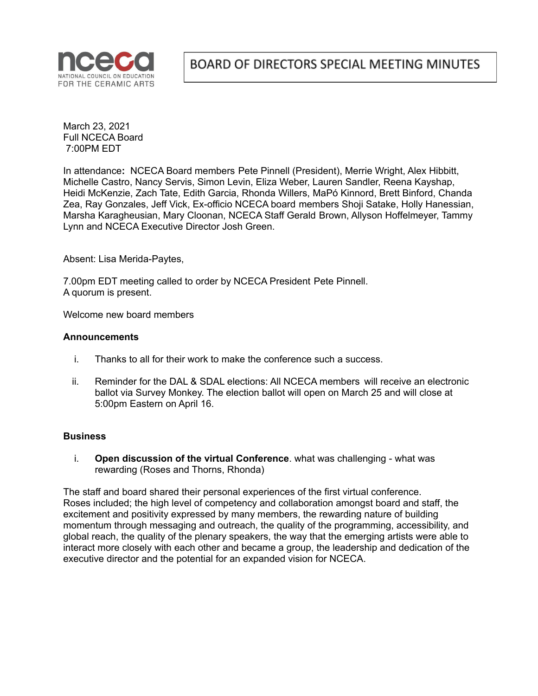

March 23, 2021 Full NCECA Board 7:00PM EDT

In attendance**:** NCECA Board members Pete Pinnell (President), Merrie Wright, Alex Hibbitt, Michelle Castro, Nancy Servis, Simon Levin, Eliza Weber, Lauren Sandler, Reena Kayshap, Heidi McKenzie, Zach Tate, Edith Garcia, Rhonda Willers, MaPó Kinnord, Brett Binford, Chanda Zea, Ray Gonzales, Jeff Vick, Ex-officio NCECA board members Shoji Satake, Holly Hanessian, Marsha Karagheusian, Mary Cloonan, NCECA Staff Gerald Brown, Allyson Hoffelmeyer, Tammy Lynn and NCECA Executive Director Josh Green.

Absent: Lisa Merida-Paytes,

7.00pm EDT meeting called to order by NCECA President Pete Pinnell. A quorum is present.

Welcome new board members

## **Announcements**

- i. Thanks to all for their work to make the conference such a success.
- ii. Reminder for the DAL & SDAL elections: All NCECA members will receive an electronic ballot via Survey Monkey. The election ballot will open on March 25 and will close at 5:00pm Eastern on April 16.

## **Business**

i. **Open discussion of the virtual Conference**. what was challenging - what was rewarding (Roses and Thorns, Rhonda)

The staff and board shared their personal experiences of the first virtual conference. Roses included; the high level of competency and collaboration amongst board and staff, the excitement and positivity expressed by many members, the rewarding nature of building momentum through messaging and outreach, the quality of the programming, accessibility, and global reach, the quality of the plenary speakers, the way that the emerging artists were able to interact more closely with each other and became a group, the leadership and dedication of the executive director and the potential for an expanded vision for NCECA.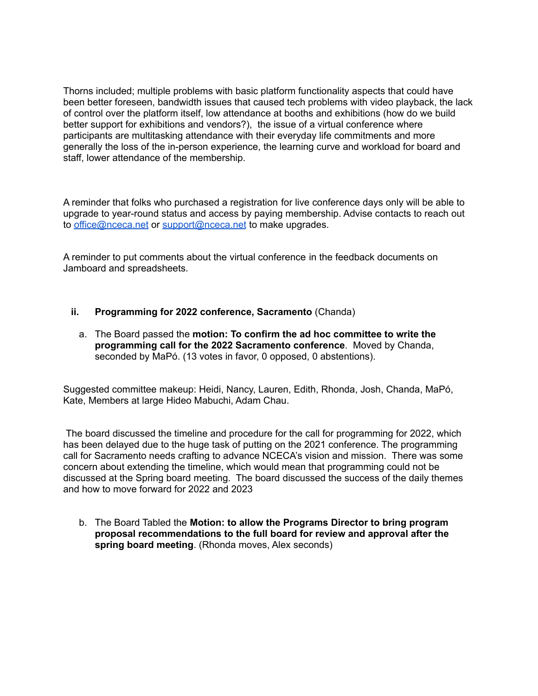Thorns included; multiple problems with basic platform functionality aspects that could have been better foreseen, bandwidth issues that caused tech problems with video playback, the lack of control over the platform itself, low attendance at booths and exhibitions (how do we build better support for exhibitions and vendors?), the issue of a virtual conference where participants are multitasking attendance with their everyday life commitments and more generally the loss of the in-person experience, the learning curve and workload for board and staff, lower attendance of the membership.

A reminder that folks who purchased a registration for live conference days only will be able to upgrade to year-round status and access by paying membership. Advise contacts to reach out to [office@nceca.net](mailto:office@nceca.net) or [support@nceca.net](mailto:support@nceca.net) to make upgrades.

A reminder to put comments about the virtual conference in the feedback documents on Jamboard and spreadsheets.

- **ii. Programming for 2022 conference, Sacramento** (Chanda)
	- a. The Board passed the **motion: To confirm the ad hoc committee to write the programming call for the 2022 Sacramento conference**. Moved by Chanda, seconded by MaPó. (13 votes in favor, 0 opposed, 0 abstentions).

Suggested committee makeup: Heidi, Nancy, Lauren, Edith, Rhonda, Josh, Chanda, MaPó, Kate, Members at large Hideo Mabuchi, Adam Chau.

The board discussed the timeline and procedure for the call for programming for 2022, which has been delayed due to the huge task of putting on the 2021 conference. The programming call for Sacramento needs crafting to advance NCECA's vision and mission. There was some concern about extending the timeline, which would mean that programming could not be discussed at the Spring board meeting. The board discussed the success of the daily themes and how to move forward for 2022 and 2023

b. The Board Tabled the **Motion: to allow the Programs Director to bring program proposal recommendations to the full board for review and approval after the spring board meeting**. (Rhonda moves, Alex seconds)